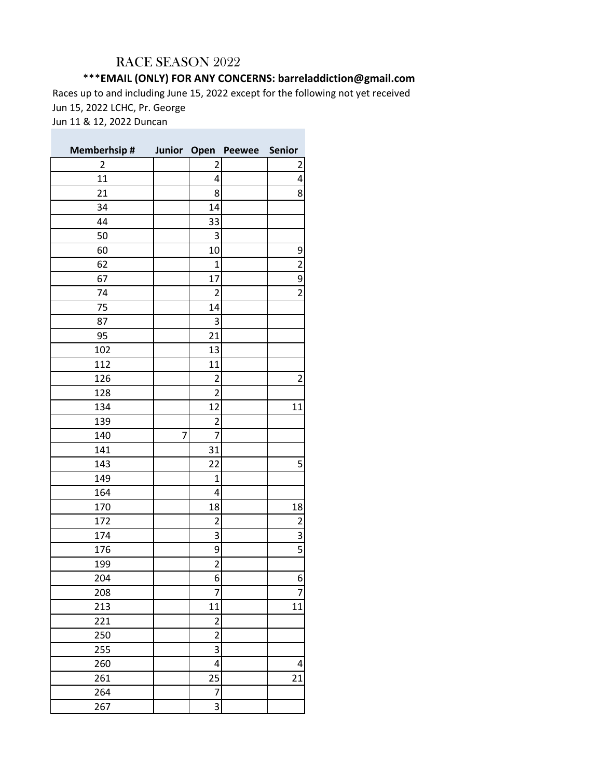## RACE SEASON 2022

## \*\*\***EMAIL (ONLY) FOR ANY CONCERNS: barreladdiction@gmail.com**

Races up to and including June 15, 2022 except for the following not yet received Jun 15, 2022 LCHC, Pr. George Jun 11 & 12, 2022 Duncan

| <b>Memberhsip#</b> |   |                         | Junior Open Peewee Senior |                |
|--------------------|---|-------------------------|---------------------------|----------------|
| $\overline{2}$     |   | 2                       |                           | 2              |
| 11                 |   | 4                       |                           | 4              |
| 21                 |   | 8                       |                           | 8              |
| 34                 |   | 14                      |                           |                |
| 44                 |   | 33                      |                           |                |
| 50                 |   | 3                       |                           |                |
| 60                 |   | 10                      |                           |                |
| 62                 |   | $\mathbf 1$             |                           | $\frac{9}{2}$  |
| 67                 |   | 17                      |                           | $\overline{9}$ |
| 74                 |   | $\overline{c}$          |                           | $\overline{2}$ |
| 75                 |   | 14                      |                           |                |
| 87                 |   | 3                       |                           |                |
| 95                 |   | 21                      |                           |                |
| 102                |   | 13                      |                           |                |
| 112                |   | 11                      |                           |                |
| 126                |   | 2                       |                           | $\overline{c}$ |
| 128                |   | $\overline{2}$          |                           |                |
| 134                |   | 12                      |                           | 11             |
| 139                |   | 2                       |                           |                |
| 140                | 7 | 7                       |                           |                |
| 141                |   | 31                      |                           |                |
| 143                |   | 22                      |                           | 5              |
| 149                |   | $\mathbf 1$             |                           |                |
| 164                |   | 4                       |                           |                |
| 170                |   | 18                      |                           | 18             |
| 172                |   | $\overline{\mathbf{c}}$ |                           |                |
| 174                |   | 3                       |                           | $\frac{2}{3}$  |
| 176                |   | 9                       |                           | $\overline{5}$ |
| 199                |   | $\overline{\mathbf{c}}$ |                           |                |
| 204                |   | 6                       |                           | 6              |
| 208                |   | 7                       |                           | 7              |
| 213                |   | 11                      |                           | 11             |
| 221                |   | $\overline{\mathbf{c}}$ |                           |                |
| 250                |   | $\overline{2}$          |                           |                |
| 255                |   | 3                       |                           |                |
| 260                |   | 4                       |                           | 4              |
| 261                |   | 25                      |                           | 21             |
| 264                |   | 7                       |                           |                |
| 267                |   | 3                       |                           |                |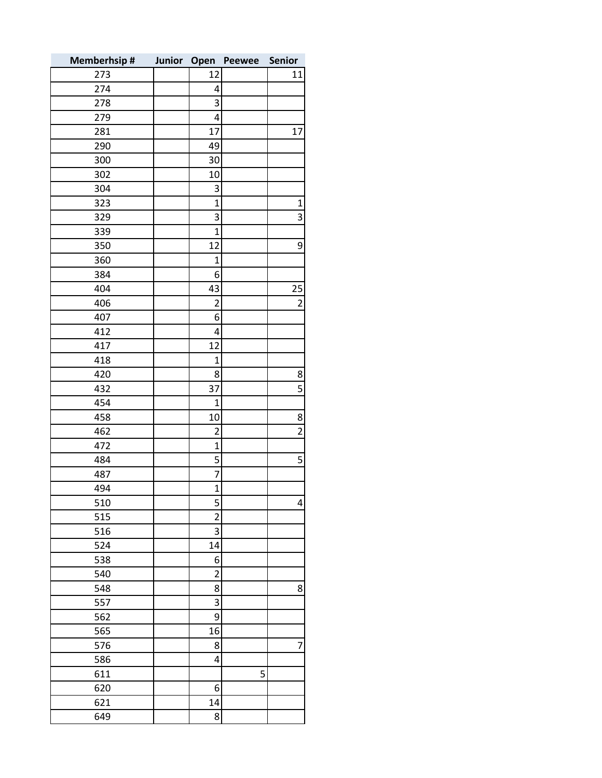| <b>Memberhsip#</b> | Junior | Open                           | Peewee | <b>Senior</b>  |
|--------------------|--------|--------------------------------|--------|----------------|
| 273                |        | 12                             |        | 11             |
| 274                |        | 4                              |        |                |
| 278                |        | 3                              |        |                |
| 279                |        | 4                              |        |                |
| 281                |        | 17                             |        | 17             |
| 290                |        | 49                             |        |                |
| 300                |        | 30                             |        |                |
| 302                |        | 10                             |        |                |
| 304                |        | 3                              |        |                |
| 323                |        | $\mathbf{1}$                   |        | $\mathbf 1$    |
| 329                |        | 3                              |        | 3              |
| 339                |        | $\mathbf{1}$                   |        |                |
| 350                |        | 12                             |        | 9              |
| 360                |        | $\mathbf{1}$                   |        |                |
| 384                |        | 6                              |        |                |
| 404                |        | 43                             |        | 25             |
| 406                |        | $\overline{c}$                 |        | $\overline{2}$ |
| 407                |        | 6                              |        |                |
| 412                |        | $\overline{\mathbf{4}}$        |        |                |
| 417                |        | 12                             |        |                |
| 418                |        | $\mathbf{1}$                   |        |                |
| 420                |        | 8                              |        | 8              |
| 432                |        | 37                             |        | 5              |
| 454                |        | $\mathbf{1}$                   |        |                |
| 458                |        | 10                             |        | 8              |
| 462                |        | $\overline{2}$                 |        | $\overline{2}$ |
| 472                |        | $\mathbf{1}$                   |        |                |
| 484                |        | 5                              |        | 5              |
| 487                |        | $\overline{7}$                 |        |                |
| 494                |        | $\mathbf{1}$                   |        |                |
| 510                |        |                                |        |                |
| 515                |        | $\mathsf{S}$<br>$\overline{2}$ |        | 4              |
|                    |        | 3                              |        |                |
| 516                |        | 14                             |        |                |
| 524<br>538         |        | $6 \overline{6}$               |        |                |
|                    |        | $\overline{c}$                 |        |                |
| 540                |        |                                |        |                |
| 548                |        | 8<br>3                         |        | 8              |
| 557                |        |                                |        |                |
| 562                |        | 9                              |        |                |
| 565                |        | 16                             |        |                |
| 576                |        | 8                              |        | 7              |
| 586                |        | 4                              |        |                |
| 611                |        |                                | 5      |                |
| 620                |        | 6                              |        |                |
| 621                |        | 14                             |        |                |
| 649                |        | 8                              |        |                |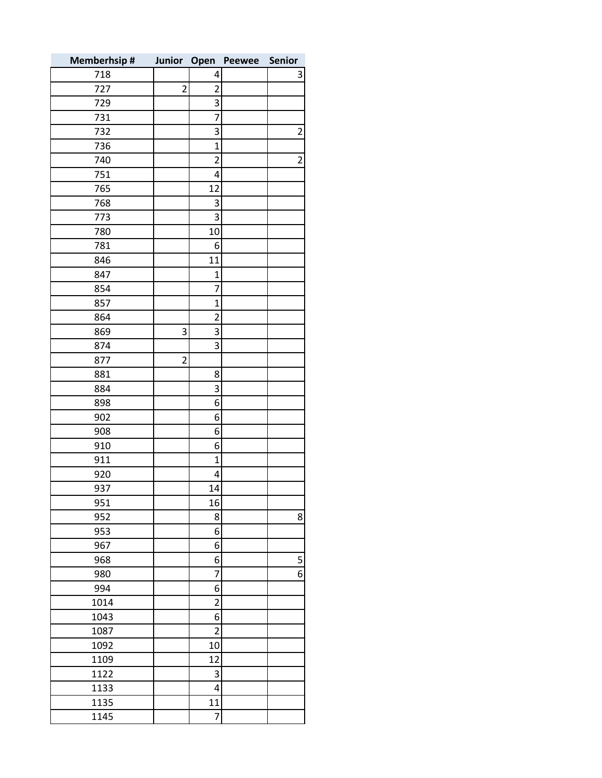| <b>Memberhsip#</b> |                |                         | Junior Open Peewee | Senior                  |
|--------------------|----------------|-------------------------|--------------------|-------------------------|
| 718                |                | 4                       |                    | 3                       |
| 727                | $\overline{2}$ | $\overline{2}$          |                    |                         |
| 729                |                | 3                       |                    |                         |
| 731                |                | 7                       |                    |                         |
| 732                |                | 3                       |                    | $\overline{\mathbf{c}}$ |
| 736                |                | $\overline{1}$          |                    |                         |
| 740                |                | $\overline{\mathbf{c}}$ |                    | $\overline{c}$          |
| 751                |                | 4                       |                    |                         |
| 765                |                | 12                      |                    |                         |
| 768                |                | 3                       |                    |                         |
| 773                |                | 3                       |                    |                         |
| 780                |                | 10                      |                    |                         |
| 781                |                | 6                       |                    |                         |
| 846                |                | 11                      |                    |                         |
| 847                |                | $\mathbf 1$             |                    |                         |
| 854                |                | 7                       |                    |                         |
| 857                |                | $\mathbf 1$             |                    |                         |
| 864                |                | $\overline{c}$          |                    |                         |
| 869                | 3              | 3                       |                    |                         |
| 874                |                | 3                       |                    |                         |
| 877                | $\overline{2}$ |                         |                    |                         |
| 881                |                | 8                       |                    |                         |
| 884                |                | 3                       |                    |                         |
| 898                |                | 6                       |                    |                         |
| 902                |                | 6                       |                    |                         |
| 908                |                | 6                       |                    |                         |
| 910                |                | 6                       |                    |                         |
| 911                |                | $\mathbf 1$             |                    |                         |
| 920                |                | 4                       |                    |                         |
| 937                |                | 14                      |                    |                         |
| 951                |                | 16                      |                    |                         |
| 952                |                | 8                       |                    | 8                       |
| 953                |                | 6                       |                    |                         |
| 967                |                | 6                       |                    |                         |
| 968                |                | 6                       |                    | 5                       |
| 980                |                | 7                       |                    | $6\vert$                |
| 994                |                | 6                       |                    |                         |
| 1014               |                | $\overline{c}$          |                    |                         |
| 1043               |                | 6                       |                    |                         |
| 1087               |                | $\overline{2}$          |                    |                         |
| 1092               |                | 10                      |                    |                         |
| 1109               |                | 12                      |                    |                         |
| 1122               |                | 3                       |                    |                         |
| 1133               |                | 4                       |                    |                         |
| 1135               |                | 11                      |                    |                         |
| 1145               |                | 7                       |                    |                         |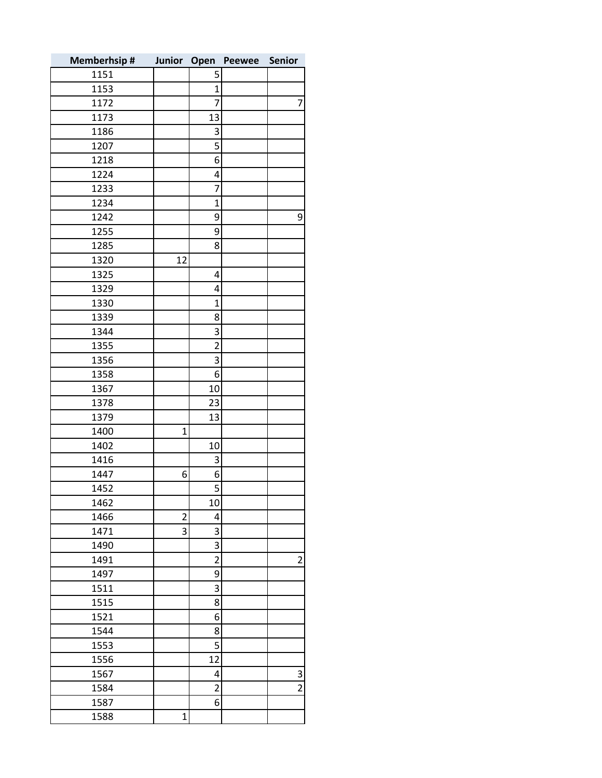| <b>Memberhsip#</b> | Junior Open    |                         | Peewee | Senior                  |
|--------------------|----------------|-------------------------|--------|-------------------------|
| 1151               |                | 5                       |        |                         |
| 1153               |                | $\mathbf 1$             |        |                         |
| 1172               |                | $\overline{7}$          |        | 7                       |
| 1173               |                | 13                      |        |                         |
| 1186               |                | 3                       |        |                         |
| 1207               |                | 5                       |        |                         |
| 1218               |                | 6                       |        |                         |
| 1224               |                | 4                       |        |                         |
| 1233               |                | $\overline{7}$          |        |                         |
| 1234               |                | $\overline{1}$          |        |                         |
| 1242               |                | 9                       |        | 9                       |
| 1255               |                | 9                       |        |                         |
| 1285               |                | 8                       |        |                         |
| 1320               | 12             |                         |        |                         |
| 1325               |                | 4                       |        |                         |
| 1329               |                | 4                       |        |                         |
| 1330               |                | $\mathbf 1$             |        |                         |
| 1339               |                | 8                       |        |                         |
| 1344               |                | 3                       |        |                         |
| 1355               |                | $\overline{2}$          |        |                         |
| 1356               |                | 3                       |        |                         |
| 1358               |                | 6                       |        |                         |
| 1367               |                | 10                      |        |                         |
| 1378               |                | 23                      |        |                         |
| 1379               |                | 13                      |        |                         |
| 1400               | $\mathbf{1}$   |                         |        |                         |
| 1402               |                | 10                      |        |                         |
| 1416               |                | 3                       |        |                         |
| 1447               | 6              | 6                       |        |                         |
| 1452               |                | 5                       |        |                         |
| 1462               |                | 10                      |        |                         |
| 1466               | $\overline{2}$ | 4                       |        |                         |
| 1471               | 3              | 3                       |        |                         |
| 1490               |                | 3                       |        |                         |
| 1491               |                | $\overline{\mathbf{c}}$ |        | $\overline{2}$          |
| 1497               |                | 9                       |        |                         |
| 1511               |                | 3                       |        |                         |
| 1515               |                | 8                       |        |                         |
| 1521               |                | 6                       |        |                         |
| 1544               |                | 8                       |        |                         |
| 1553               |                | 5                       |        |                         |
| 1556               |                | 12                      |        |                         |
| 1567               |                | 4                       |        | $\overline{\mathbf{3}}$ |
| 1584               |                | $\overline{2}$          |        | $\overline{2}$          |
| 1587               |                | 6                       |        |                         |
| 1588               | $\mathbf 1$    |                         |        |                         |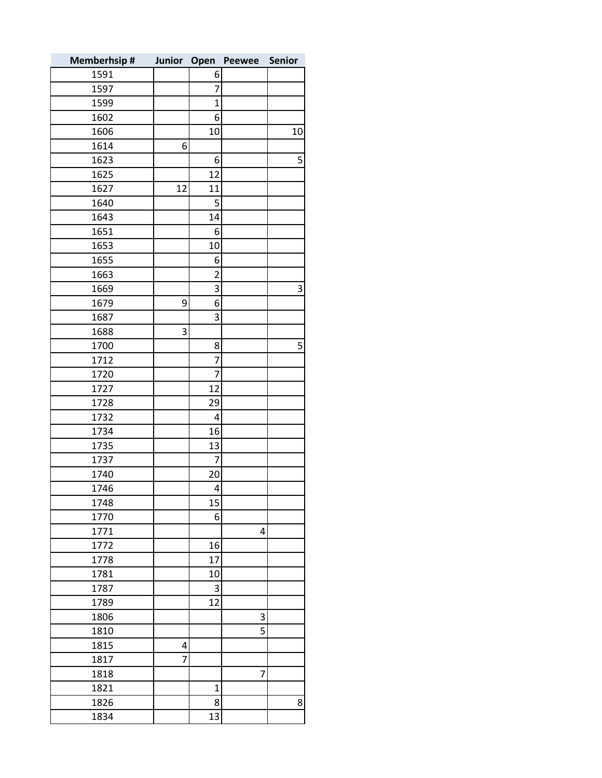| <b>Memberhsip#</b> | Junior Open |                | <b>Peewee</b> | Senior |
|--------------------|-------------|----------------|---------------|--------|
| 1591               |             | 6              |               |        |
| 1597               |             | $\overline{7}$ |               |        |
| 1599               |             | $\mathbf{1}$   |               |        |
| 1602               |             | 6              |               |        |
| 1606               |             | 10             |               | 10     |
| 1614               | 6           |                |               |        |
| 1623               |             | 6              |               | 5      |
| 1625               |             | 12             |               |        |
| 1627               | 12          | 11             |               |        |
| 1640               |             | 5              |               |        |
| 1643               |             | 14             |               |        |
| 1651               |             | 6              |               |        |
| 1653               |             | 10             |               |        |
| 1655               |             | 6              |               |        |
| 1663               |             | $\overline{2}$ |               |        |
| 1669               |             | 3              |               | 3      |
| 1679               | 9           | 6              |               |        |
| 1687               |             | 3              |               |        |
| 1688               | 3           |                |               |        |
| 1700               |             | 8              |               | 5      |
| 1712               |             | $\overline{7}$ |               |        |
| 1720               |             | 7              |               |        |
| 1727               |             | 12             |               |        |
| 1728               |             | 29             |               |        |
| 1732               |             | 4              |               |        |
| 1734               |             | 16             |               |        |
| 1735               |             | 13             |               |        |
| 1737               |             | 7              |               |        |
| 1740               |             | 20             |               |        |
| 1746               |             | 4              |               |        |
| 1748               |             | 15             |               |        |
| 1770               |             | 6              |               |        |
| 1771               |             |                | 4             |        |
| 1772               |             | 16             |               |        |
| 1778               |             | 17             |               |        |
| 1781               |             | 10             |               |        |
| 1787               |             | 3              |               |        |
| 1789               |             | 12             |               |        |
| 1806               |             |                | 3             |        |
| 1810               |             |                | 5             |        |
| 1815               | 4           |                |               |        |
| 1817               | 7           |                |               |        |
| 1818               |             |                | 7             |        |
| 1821               |             | $\overline{1}$ |               |        |
| 1826               |             | 8              |               | 8      |
| 1834               |             | 13             |               |        |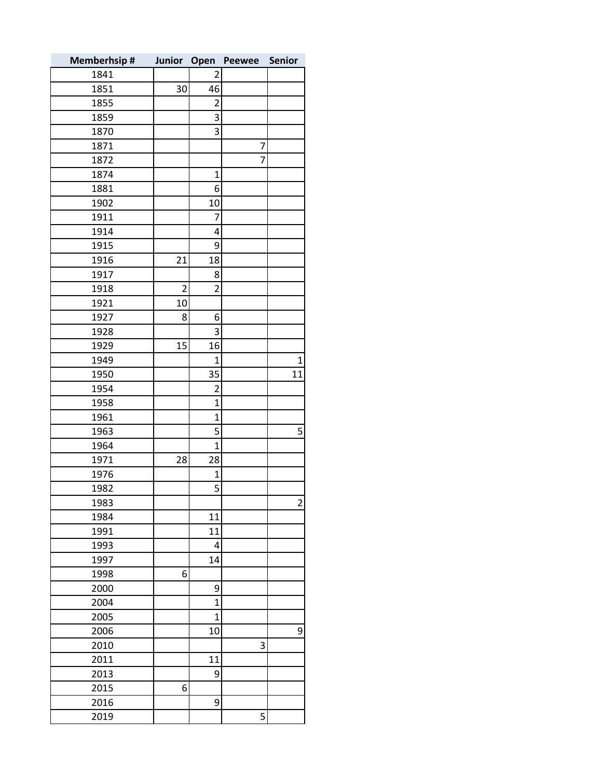| <b>Memberhsip#</b> | Junior Open    |                | Peewee | <b>Senior</b>           |
|--------------------|----------------|----------------|--------|-------------------------|
| 1841               |                | 2              |        |                         |
| 1851               | 30             | 46             |        |                         |
| 1855               |                | 2              |        |                         |
| 1859               |                | 3              |        |                         |
| 1870               |                | 3              |        |                         |
| 1871               |                |                | 7      |                         |
| 1872               |                |                | 7      |                         |
| 1874               |                | $\mathbf 1$    |        |                         |
| 1881               |                | 6              |        |                         |
| 1902               |                | 10             |        |                         |
| 1911               |                | 7              |        |                         |
| 1914               |                | 4              |        |                         |
| 1915               |                | 9              |        |                         |
| 1916               | 21             | 18             |        |                         |
| 1917               |                | 8              |        |                         |
| 1918               | $\overline{2}$ | $\overline{2}$ |        |                         |
| 1921               | 10             |                |        |                         |
| 1927               | 8              | 6              |        |                         |
| 1928               |                | 3              |        |                         |
| 1929               | 15             | 16             |        |                         |
| 1949               |                | $\mathbf 1$    |        | $\mathbf 1$             |
| 1950               |                | 35             |        | 11                      |
| 1954               |                | $\overline{2}$ |        |                         |
| 1958               |                | $\mathbf 1$    |        |                         |
| 1961               |                | $\overline{1}$ |        |                         |
| 1963               |                | 5              |        | 5                       |
| 1964               |                | $\overline{1}$ |        |                         |
| 1971               | 28             | 28             |        |                         |
| 1976               |                | $\mathbf 1$    |        |                         |
| 1982               |                | 5              |        |                         |
| 1983               |                |                |        | $\overline{\mathbf{c}}$ |
| 1984               |                | 11             |        |                         |
| 1991               |                | 11             |        |                         |
| 1993               |                | 4              |        |                         |
| 1997               |                | 14             |        |                         |
| 1998               | 6              |                |        |                         |
| 2000               |                | 9              |        |                         |
| 2004               |                | $\overline{1}$ |        |                         |
| 2005               |                | $\overline{1}$ |        |                         |
| 2006               |                | 10             |        | 9                       |
| 2010               |                |                | 3      |                         |
| 2011               |                | 11             |        |                         |
| 2013               |                | 9              |        |                         |
| 2015               | 6              |                |        |                         |
| 2016               |                | 9              |        |                         |
| 2019               |                |                | 5      |                         |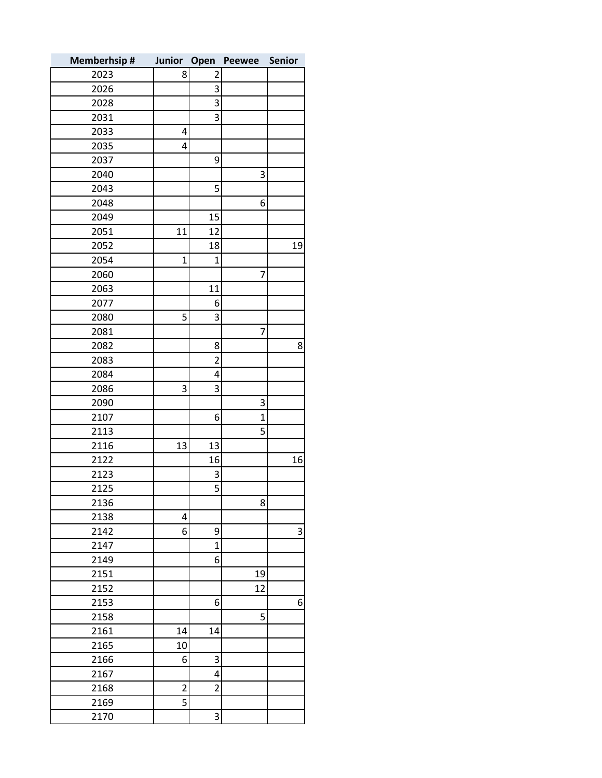| <b>Memberhsip#</b> | Junior Open    |                | <b>Peewee</b> | <b>Senior</b> |
|--------------------|----------------|----------------|---------------|---------------|
| 2023               | 8              | 2              |               |               |
| 2026               |                | 3              |               |               |
| 2028               |                | 3              |               |               |
| 2031               |                | 3              |               |               |
| 2033               | 4              |                |               |               |
| 2035               | 4              |                |               |               |
| 2037               |                | 9              |               |               |
| 2040               |                |                | 3             |               |
| 2043               |                | 5              |               |               |
| 2048               |                |                | 6             |               |
| 2049               |                | 15             |               |               |
| 2051               | 11             | 12             |               |               |
| 2052               |                | 18             |               | 19            |
| 2054               | $\overline{1}$ | 1              |               |               |
| 2060               |                |                | 7             |               |
| 2063               |                | 11             |               |               |
| 2077               |                | 6              |               |               |
| 2080               | 5              | 3              |               |               |
| 2081               |                |                | 7             |               |
| 2082               |                | 8              |               | 8             |
| 2083               |                | $\overline{2}$ |               |               |
| 2084               |                | 4              |               |               |
| 2086               | 3              | 3              |               |               |
| 2090               |                |                | 3             |               |
| 2107               |                | 6              | 1             |               |
| 2113               |                |                | 5             |               |
| 2116               | 13             | 13             |               |               |
| 2122               |                | 16             |               | 16            |
| 2123               |                | 3              |               |               |
| 2125               |                | 5              |               |               |
| 2136               |                |                | 8             |               |
| 2138               | 4              |                |               |               |
| 2142               | 6              | 9              |               | 3             |
| 2147               |                | $\mathbf{1}$   |               |               |
| 2149               |                | 6              |               |               |
| 2151               |                |                | 19            |               |
| 2152               |                |                | 12            |               |
| 2153               |                | 6              |               | 6             |
| 2158               |                |                | 5             |               |
| 2161               | 14             | 14             |               |               |
| 2165<br>2166       | 10<br>6        | 3              |               |               |
| 2167               |                | 4              |               |               |
| 2168               | $\overline{2}$ | $\overline{2}$ |               |               |
| 2169               | 5              |                |               |               |
|                    |                |                |               |               |
| 2170               |                | 3              |               |               |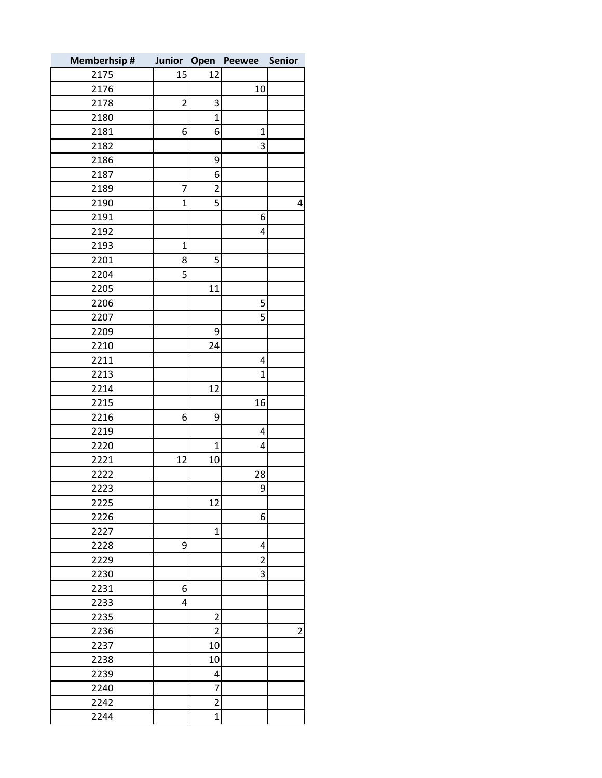| <b>Memberhsip#</b> | Junior Open    |                | Peewee         | Senior         |
|--------------------|----------------|----------------|----------------|----------------|
| 2175               | 15             | 12             |                |                |
| 2176               |                |                | 10             |                |
| 2178               | $\overline{c}$ | 3              |                |                |
| 2180               |                | $\overline{1}$ |                |                |
| 2181               | 6              | 6              | $\mathbf{1}$   |                |
| 2182               |                |                | 3              |                |
| 2186               |                | 9              |                |                |
| 2187               |                | 6              |                |                |
| 2189               | $\overline{7}$ | $\overline{2}$ |                |                |
| 2190               | $\overline{1}$ | 5              |                | 4              |
| 2191               |                |                | 6              |                |
| 2192               |                |                | 4              |                |
| 2193               | $\mathbf 1$    |                |                |                |
| 2201               | 8              | 5              |                |                |
| 2204               | 5              |                |                |                |
| 2205               |                | 11             |                |                |
| 2206               |                |                | 5              |                |
| 2207               |                |                | 5              |                |
| 2209               |                | 9              |                |                |
| 2210               |                | 24             |                |                |
| 2211               |                |                | 4              |                |
| 2213               |                |                | 1              |                |
| 2214               |                | 12             |                |                |
| 2215               |                |                | 16             |                |
| 2216               | 6              | 9              |                |                |
| 2219               |                |                | 4              |                |
| 2220               |                | $\mathbf 1$    | 4              |                |
| 2221               | 12             | 10             |                |                |
| 2222               |                |                | 28             |                |
| 2223               |                |                | 9              |                |
| 2225               |                | 12             |                |                |
| 2226               |                |                | 6              |                |
| 2227               |                | $\mathbf{1}$   |                |                |
| 2228               | 9              |                | 4              |                |
| 2229               |                |                | $\overline{2}$ |                |
| 2230               |                |                | 3              |                |
| 2231               | 6              |                |                |                |
| 2233               | 4              |                |                |                |
| 2235               |                | $\overline{2}$ |                |                |
| 2236               |                | $\overline{2}$ |                | $\overline{2}$ |
| 2237               |                | 10             |                |                |
| 2238               |                | 10             |                |                |
| 2239               |                | 4              |                |                |
| 2240               |                | $\overline{7}$ |                |                |
| 2242               |                | $\overline{2}$ |                |                |
| 2244               |                | $\overline{1}$ |                |                |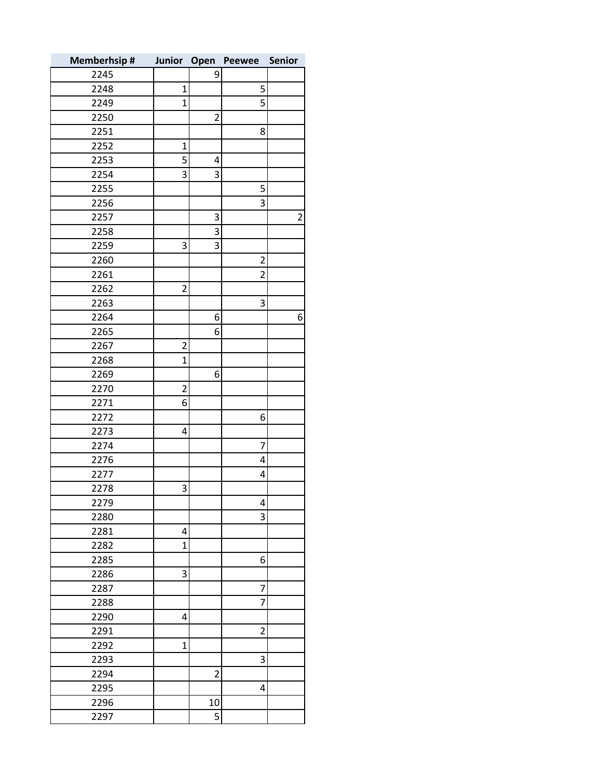| <b>Memberhsip#</b> | Junior Open    |                | Peewee         | Senior |
|--------------------|----------------|----------------|----------------|--------|
| 2245               |                | 9              |                |        |
| 2248               | $\mathbf 1$    |                | 5              |        |
| 2249               | $\overline{1}$ |                | 5              |        |
| 2250               |                | $\overline{c}$ |                |        |
| 2251               |                |                | 8              |        |
| 2252               | 1              |                |                |        |
| 2253               | 5              | 4              |                |        |
| 2254               | 3              | 3              |                |        |
| 2255               |                |                | 5              |        |
| 2256               |                |                | 3              |        |
| 2257               |                | 3              |                | 2      |
| 2258               |                | 3              |                |        |
| 2259               | 3              | 3              |                |        |
| 2260               |                |                | $\overline{c}$ |        |
| 2261               |                |                | $\overline{2}$ |        |
| 2262               | $\overline{c}$ |                |                |        |
| 2263               |                |                | 3              |        |
| 2264               |                | 6              |                | 6      |
| 2265               |                | 6              |                |        |
| 2267               | $\overline{c}$ |                |                |        |
| 2268               | $\overline{1}$ |                |                |        |
| 2269               |                | 6              |                |        |
| 2270               | $\overline{c}$ |                |                |        |
| 2271               | 6              |                |                |        |
| 2272               |                |                | 6              |        |
| 2273               | 4              |                |                |        |
| 2274               |                |                | 7              |        |
| 2276               |                |                | 4              |        |
| 2277               |                |                | 4              |        |
| 2278               | 3              |                |                |        |
| 2279               |                |                | 4              |        |
| 2280               |                |                | 3              |        |
| 2281               | 4              |                |                |        |
| 2282               | $\mathbf{1}$   |                |                |        |
| 2285               |                |                | 6              |        |
| 2286               | 3              |                |                |        |
| 2287               |                |                | 7              |        |
| 2288               |                |                | $\overline{7}$ |        |
| 2290               | 4              |                |                |        |
| 2291               |                |                | $\overline{2}$ |        |
| 2292               | $\mathbf{1}$   |                |                |        |
| 2293               |                |                | 3              |        |
| 2294               |                | $\overline{2}$ |                |        |
| 2295               |                |                | 4              |        |
| 2296               |                | 10             |                |        |
| 2297               |                | 5              |                |        |